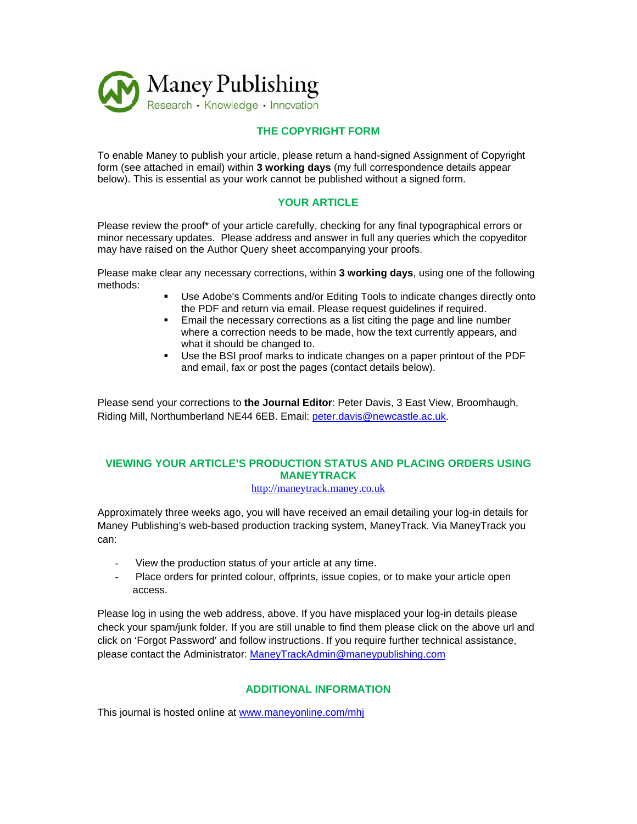

# **THE CO OPYRIGHT T FORM**

To enable Maney to publish your article, please return a hand-signed Assignment of Copyright form (see attached in email) within 3 working days (my full correspondence details appear below). This is essential as your work cannot be published without a signed form.

# **YOUR ARTICLE**

Please review the proof\* of your article carefully, checking for any final typographical errors or minor necessary updates. Please address and answer in full any queries which the copyeditor may have raised on the Author Query sheet accompanying your proofs.

Please make clear any necessary corrections, within 3 working days, using one of the following methods s:

- " Use Adobe's Comments and/or Editing Tools to indicate changes directly onto the PDF and return via email. Please request guidelines if required.
- **Email the necessary corrections as a list citing the page and line number** where a correction needs to be made, how the text currently appears, and what it should be changed to.
- Use the BSI proof marks to indicate changes on a paper printout of the PDF and email, fax or post the pages (contact details below).

Please send your corrections to the Journal Editor: Peter Davis, 3 East View, Broomhaugh, Riding Mill, Northumberland NE44 6EB. Email: *peter.davis@newcastle.ac.uk.* 

# **VIEW WING YOUR R ARTICLE' 'S PRODUC CTION STA ATUS AND PLACING ORDERS U USING MANEYTRACK**

http://maneytrack.maney.co.uk

Approximately three weeks ago, you will have received an email detailing your log-in details for Maney Publishing's web-based production tracking system, ManeyTrack. Via ManeyTrack you can:

- View the production status of your article at any time.
- Place orders for printed colour, offprints, issue copies, or to make your article open access.

Please log in using the web address, above. If you have misplaced your log-in details please check your spam/junk folder. If you are still unable to find them please click on the above url and click on 'Forgot Password' and follow instructions. If you require further technical assistance, please contact the Administrator: ManeyTrackAdmin@maneypublishing.com

# **ADDITIONAL INFORMATION**

This journal is hosted online at www.maneyonline.com/mhj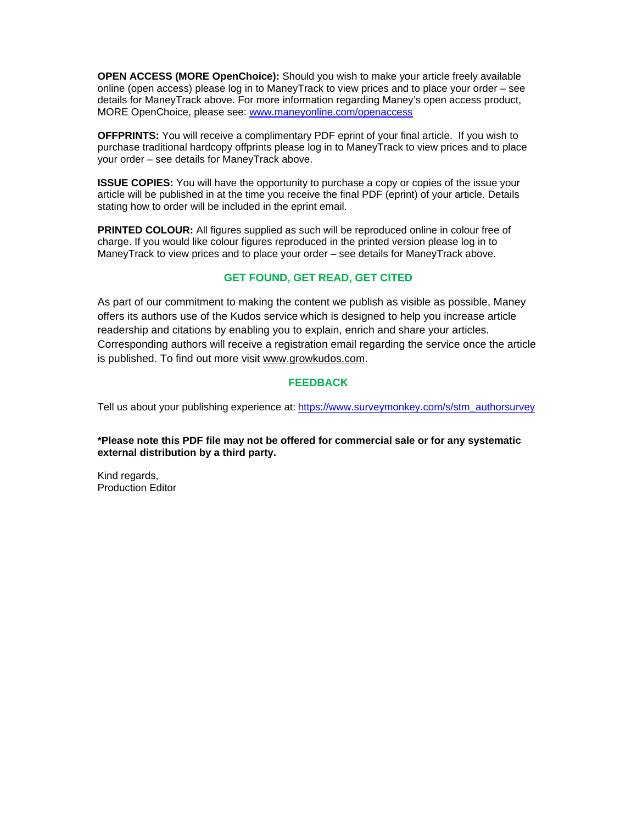**OPEN ACCESS (MORE OpenChoice):** Should you wish to make your article freely available online (open access) please log in to ManeyTrack to view prices and to place your order – see details for ManeyTrack above. For more information regarding Maney's open access product, MORE OpenChoice, please see: www.maneyonline.com/openaccess

**OFFPRINTS:** You will receive a complimentary PDF eprint of your final article. If you wish to purchase traditional hardcopy offprints please log in to ManeyTrack to view prices and to place your order – see details for ManeyTrack above.

**ISSUE COPIES:** You will have the opportunity to purchase a copy or copies of the issue your article will be published in at the time you receive the final PDF (eprint) of your article. Details stating how to order will be included in the eprint email.

**PRINTED COLOUR:** All figures supplied as such will be reproduced online in colour free of charge. If you would like colour figures reproduced in the printed version please log in to ManeyTrack to view prices and to place your order – see details for ManeyTrack above.

# **GET FOUND, GET READ, GET CITED**

As part of our commitment to making the content we publish as visible as possible, Maney offers its authors use of the Kudos service which is designed to help you increase article readership and citations by enabling you to explain, enrich and share your articles. Corresponding authors will receive a registration email regarding the service once the article is published. To find out more visit www.growkudos.com.

## **FEEDBACK**

Tell us about your publishing experience at: https://www.surveymonkey.com/s/stm\_authorsurvey

**\*Please note this PDF file may not be offered for commercial sale or for any systematic external distribution by a third party.** 

Kind regards, Production Editor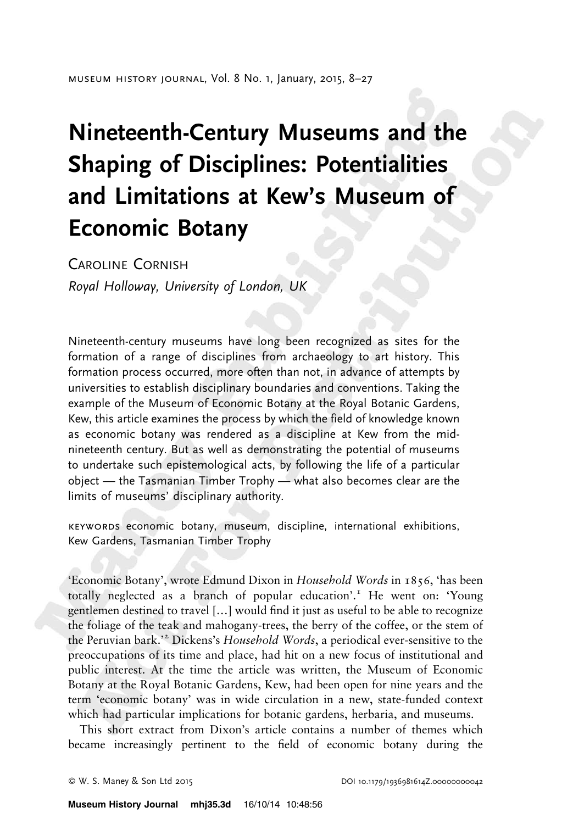# Nineteenth-Century Museums and the Shaping of Disciplines: Potentialities and Limitations at Kew's Museum of Economic Botany

CAROLINE CORNISH

Royal Holloway, University of London, UK

Nineteenth-century museums have long been recognized as sites for the formation of a range of disciplines from archaeology to art history. This formation process occurred, more often than not, in advance of attempts by universities to establish disciplinary boundaries and conventions. Taking the example of the Museum of Economic Botany at the Royal Botanic Gardens, Kew, this article examines the process by which the field of knowledge known as economic botany was rendered as a discipline at Kew from the midnineteenth century. But as well as demonstrating the potential of museums to undertake such epistemological acts, by following the life of a particular object — the Tasmanian Timber Trophy — what also becomes clear are the limits of museums' disciplinary authority.

keywords economic botany, museum, discipline, international exhibitions, Kew Gardens, Tasmanian Timber Trophy

'Economic Botany', wrote Edmund Dixon in Household Words in 1856, 'has been totally neglected as a branch of popular education'.<sup>1</sup> He went on: 'Young gentlemen destined to travel […] would find it just as useful to be able to recognize the foliage of the teak and mahogany-trees, the berry of the coffee, or the stem of the Peruvian bark." Dickens's Household Words, a periodical ever-sensitive to the preoccupations of its time and place, had hit on a new focus of institutional and public interest. At the time the article was written, the Museum of Economic Botany at the Royal Botanic Gardens, Kew, had been open for nine years and the term 'economic botany' was in wide circulation in a new, state-funded context which had particular implications for botanic gardens, herbaria, and museums.

This short extract from Dixon's article contains a number of themes which became increasingly pertinent to the field of economic botany during the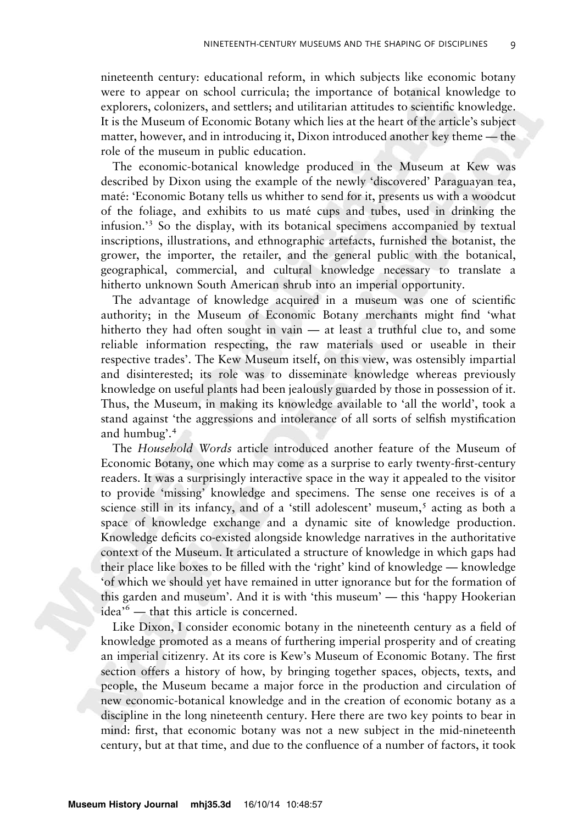nineteenth century: educational reform, in which subjects like economic botany were to appear on school curricula; the importance of botanical knowledge to explorers, colonizers, and settlers; and utilitarian attitudes to scientific knowledge. It is the Museum of Economic Botany which lies at the heart of the article's subject matter, however, and in introducing it, Dixon introduced another key theme — the role of the museum in public education.

The economic-botanical knowledge produced in the Museum at Kew was described by Dixon using the example of the newly 'discovered' Paraguayan tea, maté: 'Economic Botany tells us whither to send for it, presents us with a woodcut of the foliage, and exhibits to us mate´ cups and tubes, used in drinking the infusion.'<sup>3</sup> So the display, with its botanical specimens accompanied by textual inscriptions, illustrations, and ethnographic artefacts, furnished the botanist, the grower, the importer, the retailer, and the general public with the botanical, geographical, commercial, and cultural knowledge necessary to translate a hitherto unknown South American shrub into an imperial opportunity.

The advantage of knowledge acquired in a museum was one of scientific authority; in the Museum of Economic Botany merchants might find 'what hitherto they had often sought in vain — at least a truthful clue to, and some reliable information respecting, the raw materials used or useable in their respective trades'. The Kew Museum itself, on this view, was ostensibly impartial and disinterested; its role was to disseminate knowledge whereas previously knowledge on useful plants had been jealously guarded by those in possession of it. Thus, the Museum, in making its knowledge available to 'all the world', took a stand against 'the aggressions and intolerance of all sorts of selfish mystification and humbug'.<sup>4</sup>

The Household Words article introduced another feature of the Museum of Economic Botany, one which may come as a surprise to early twenty-first-century readers. It was a surprisingly interactive space in the way it appealed to the visitor to provide 'missing' knowledge and specimens. The sense one receives is of a science still in its infancy, and of a 'still adolescent' museum, $\delta$  acting as both a space of knowledge exchange and a dynamic site of knowledge production. Knowledge deficits co-existed alongside knowledge narratives in the authoritative context of the Museum. It articulated a structure of knowledge in which gaps had their place like boxes to be filled with the 'right' kind of knowledge — knowledge 'of which we should yet have remained in utter ignorance but for the formation of this garden and museum'. And it is with 'this museum' — this 'happy Hookerian idea'<sup>6</sup> — that this article is concerned.

Like Dixon, I consider economic botany in the nineteenth century as a field of knowledge promoted as a means of furthering imperial prosperity and of creating an imperial citizenry. At its core is Kew's Museum of Economic Botany. The first section offers a history of how, by bringing together spaces, objects, texts, and people, the Museum became a major force in the production and circulation of new economic-botanical knowledge and in the creation of economic botany as a discipline in the long nineteenth century. Here there are two key points to bear in mind: first, that economic botany was not a new subject in the mid-nineteenth century, but at that time, and due to the confluence of a number of factors, it took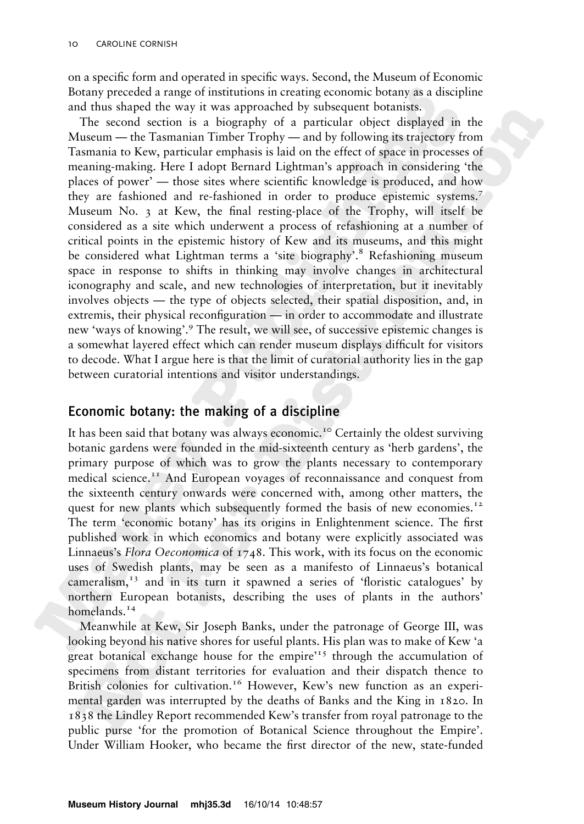on a specific form and operated in specific ways. Second, the Museum of Economic Botany preceded a range of institutions in creating economic botany as a discipline and thus shaped the way it was approached by subsequent botanists.

The second section is a biography of a particular object displayed in the Museum — the Tasmanian Timber Trophy — and by following its trajectory from Tasmania to Kew, particular emphasis is laid on the effect of space in processes of meaning-making. Here I adopt Bernard Lightman's approach in considering 'the places of power' — those sites where scientific knowledge is produced, and how they are fashioned and re-fashioned in order to produce epistemic systems.7 Museum No. 3 at Kew, the final resting-place of the Trophy, will itself be considered as a site which underwent a process of refashioning at a number of critical points in the epistemic history of Kew and its museums, and this might be considered what Lightman terms a 'site biography'.<sup>8</sup> Refashioning museum space in response to shifts in thinking may involve changes in architectural iconography and scale, and new technologies of interpretation, but it inevitably involves objects — the type of objects selected, their spatial disposition, and, in extremis, their physical reconfiguration — in order to accommodate and illustrate new 'ways of knowing'.<sup>9</sup> The result, we will see, of successive epistemic changes is a somewhat layered effect which can render museum displays difficult for visitors to decode. What I argue here is that the limit of curatorial authority lies in the gap between curatorial intentions and visitor understandings.

# Economic botany: the making of a discipline

It has been said that botany was always economic.<sup>10</sup> Certainly the oldest surviving botanic gardens were founded in the mid-sixteenth century as 'herb gardens', the primary purpose of which was to grow the plants necessary to contemporary medical science.<sup>11</sup> And European voyages of reconnaissance and conquest from the sixteenth century onwards were concerned with, among other matters, the quest for new plants which subsequently formed the basis of new economies.<sup>12</sup> The term 'economic botany' has its origins in Enlightenment science. The first published work in which economics and botany were explicitly associated was Linnaeus's Flora Oeconomica of 1748. This work, with its focus on the economic uses of Swedish plants, may be seen as a manifesto of Linnaeus's botanical cameralism, $13$  and in its turn it spawned a series of 'floristic catalogues' by northern European botanists, describing the uses of plants in the authors' homelands.<sup>14</sup>

Meanwhile at Kew, Sir Joseph Banks, under the patronage of George III, was looking beyond his native shores for useful plants. His plan was to make of Kew 'a great botanical exchange house for the empire'<sup>15</sup> through the accumulation of specimens from distant territories for evaluation and their dispatch thence to British colonies for cultivation.<sup>16</sup> However, Kew's new function as an experimental garden was interrupted by the deaths of Banks and the King in 1820. In 1838 the Lindley Report recommended Kew's transfer from royal patronage to the public purse 'for the promotion of Botanical Science throughout the Empire'. Under William Hooker, who became the first director of the new, state-funded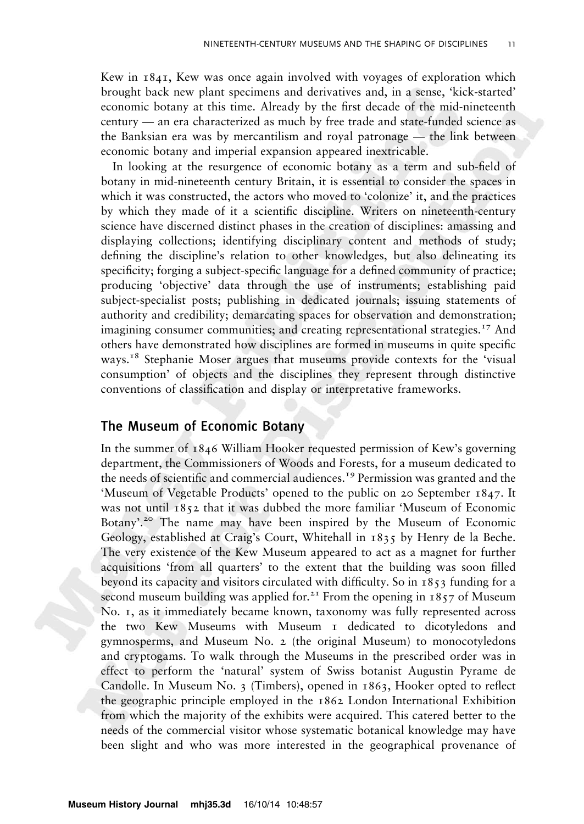Kew in 1841, Kew was once again involved with voyages of exploration which brought back new plant specimens and derivatives and, in a sense, 'kick-started' economic botany at this time. Already by the first decade of the mid-nineteenth century — an era characterized as much by free trade and state-funded science as the Banksian era was by mercantilism and royal patronage — the link between economic botany and imperial expansion appeared inextricable.

In looking at the resurgence of economic botany as a term and sub-field of botany in mid-nineteenth century Britain, it is essential to consider the spaces in which it was constructed, the actors who moved to 'colonize' it, and the practices by which they made of it a scientific discipline. Writers on nineteenth-century science have discerned distinct phases in the creation of disciplines: amassing and displaying collections; identifying disciplinary content and methods of study; defining the discipline's relation to other knowledges, but also delineating its specificity; forging a subject-specific language for a defined community of practice; producing 'objective' data through the use of instruments; establishing paid subject-specialist posts; publishing in dedicated journals; issuing statements of authority and credibility; demarcating spaces for observation and demonstration; imagining consumer communities; and creating representational strategies.<sup>17</sup> And others have demonstrated how disciplines are formed in museums in quite specific ways.<sup>18</sup> Stephanie Moser argues that museums provide contexts for the 'visual consumption' of objects and the disciplines they represent through distinctive conventions of classification and display or interpretative frameworks.

# The Museum of Economic Botany

In the summer of 1846 William Hooker requested permission of Kew's governing department, the Commissioners of Woods and Forests, for a museum dedicated to the needs of scientific and commercial audiences.<sup>19</sup> Permission was granted and the 'Museum of Vegetable Products' opened to the public on 20 September 1847. It was not until 1852 that it was dubbed the more familiar 'Museum of Economic Botany'.<sup>20</sup> The name may have been inspired by the Museum of Economic Geology, established at Craig's Court, Whitehall in 1835 by Henry de la Beche. The very existence of the Kew Museum appeared to act as a magnet for further acquisitions 'from all quarters' to the extent that the building was soon filled beyond its capacity and visitors circulated with difficulty. So in 1853 funding for a second museum building was applied for.<sup>21</sup> From the opening in  $1857$  of Museum No. 1, as it immediately became known, taxonomy was fully represented across the two Kew Museums with Museum 1 dedicated to dicotyledons and gymnosperms, and Museum No. 2 (the original Museum) to monocotyledons and cryptogams. To walk through the Museums in the prescribed order was in effect to perform the 'natural' system of Swiss botanist Augustin Pyrame de Candolle. In Museum No. 3 (Timbers), opened in 1863, Hooker opted to reflect the geographic principle employed in the 1862 London International Exhibition from which the majority of the exhibits were acquired. This catered better to the needs of the commercial visitor whose systematic botanical knowledge may have been slight and who was more interested in the geographical provenance of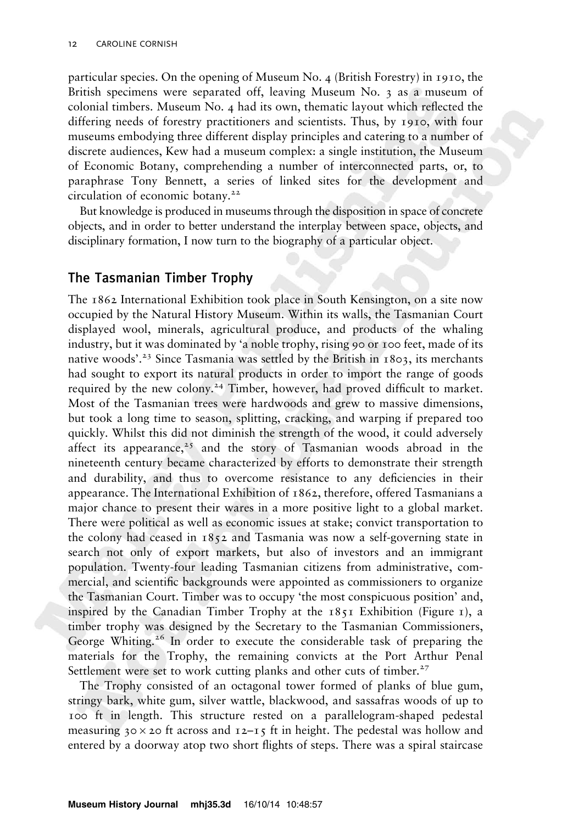particular species. On the opening of Museum No. 4 (British Forestry) in 1910, the British specimens were separated off, leaving Museum No. 3 as a museum of colonial timbers. Museum No. 4 had its own, thematic layout which reflected the differing needs of forestry practitioners and scientists. Thus, by 1910, with four museums embodying three different display principles and catering to a number of discrete audiences, Kew had a museum complex: a single institution, the Museum of Economic Botany, comprehending a number of interconnected parts, or, to paraphrase Tony Bennett, a series of linked sites for the development and circulation of economic botany.<sup>22</sup>

But knowledge is produced in museums through the disposition in space of concrete objects, and in order to better understand the interplay between space, objects, and disciplinary formation, I now turn to the biography of a particular object.

## The Tasmanian Timber Trophy

The 1862 International Exhibition took place in South Kensington, on a site now occupied by the Natural History Museum. Within its walls, the Tasmanian Court displayed wool, minerals, agricultural produce, and products of the whaling industry, but it was dominated by 'a noble trophy, rising 90 or 100 feet, made of its native woods'.<sup>23</sup> Since Tasmania was settled by the British in  $1803$ , its merchants had sought to export its natural products in order to import the range of goods required by the new colony.<sup>24</sup> Timber, however, had proved difficult to market. Most of the Tasmanian trees were hardwoods and grew to massive dimensions, but took a long time to season, splitting, cracking, and warping if prepared too quickly. Whilst this did not diminish the strength of the wood, it could adversely affect its appearance,<sup>25</sup> and the story of Tasmanian woods abroad in the nineteenth century became characterized by efforts to demonstrate their strength and durability, and thus to overcome resistance to any deficiencies in their appearance. The International Exhibition of 1862, therefore, offered Tasmanians a major chance to present their wares in a more positive light to a global market. There were political as well as economic issues at stake; convict transportation to the colony had ceased in 1852 and Tasmania was now a self-governing state in search not only of export markets, but also of investors and an immigrant population. Twenty-four leading Tasmanian citizens from administrative, commercial, and scientific backgrounds were appointed as commissioners to organize the Tasmanian Court. Timber was to occupy 'the most conspicuous position' and, inspired by the Canadian Timber Trophy at the  $1851$  Exhibition (Figure 1), a timber trophy was designed by the Secretary to the Tasmanian Commissioners, George Whiting.<sup>26</sup> In order to execute the considerable task of preparing the materials for the Trophy, the remaining convicts at the Port Arthur Penal Settlement were set to work cutting planks and other cuts of timber. $27$ 

The Trophy consisted of an octagonal tower formed of planks of blue gum, stringy bark, white gum, silver wattle, blackwood, and sassafras woods of up to 100 ft in length. This structure rested on a parallelogram-shaped pedestal measuring  $30 \times 20$  ft across and  $12-15$  ft in height. The pedestal was hollow and entered by a doorway atop two short flights of steps. There was a spiral staircase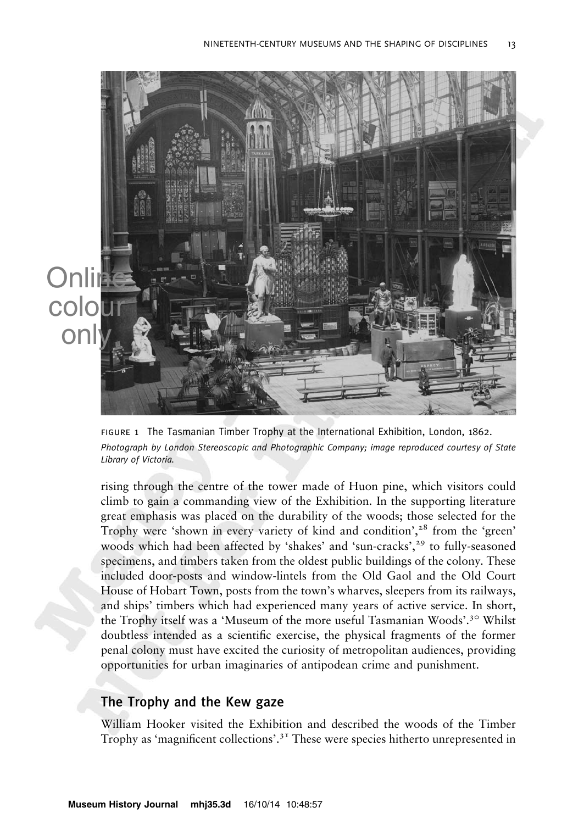

figure 1 The Tasmanian Timber Trophy at the International Exhibition, London, 1862. Photograph by London Stereoscopic and Photographic Company; image reproduced courtesy of State Library of Victoria.

rising through the centre of the tower made of Huon pine, which visitors could climb to gain a commanding view of the Exhibition. In the supporting literature great emphasis was placed on the durability of the woods; those selected for the Trophy were 'shown in every variety of kind and condition', $28$  from the 'green' woods which had been affected by 'shakes' and 'sun-cracks',<sup>29</sup> to fully-seasoned specimens, and timbers taken from the oldest public buildings of the colony. These included door-posts and window-lintels from the Old Gaol and the Old Court House of Hobart Town, posts from the town's wharves, sleepers from its railways, and ships' timbers which had experienced many years of active service. In short, the Trophy itself was a 'Museum of the more useful Tasmanian Woods'.<sup>30</sup> Whilst doubtless intended as a scientific exercise, the physical fragments of the former penal colony must have excited the curiosity of metropolitan audiences, providing opportunities for urban imaginaries of antipodean crime and punishment.

# The Trophy and the Kew gaze

William Hooker visited the Exhibition and described the woods of the Timber Trophy as 'magnificent collections'.<sup>31</sup> These were species hitherto unrepresented in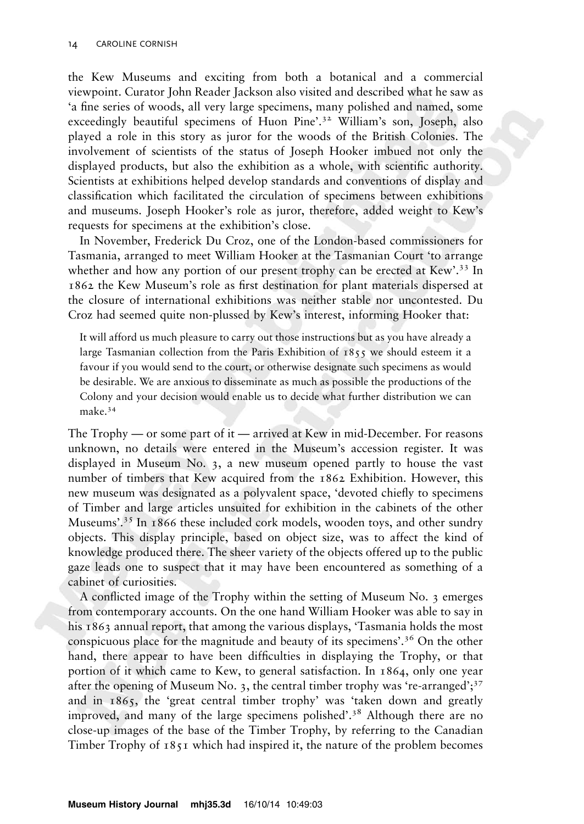the Kew Museums and exciting from both a botanical and a commercial viewpoint. Curator John Reader Jackson also visited and described what he saw as 'a fine series of woods, all very large specimens, many polished and named, some exceedingly beautiful specimens of Huon Pine'.<sup>32</sup> William's son, Joseph, also played a role in this story as juror for the woods of the British Colonies. The involvement of scientists of the status of Joseph Hooker imbued not only the displayed products, but also the exhibition as a whole, with scientific authority. Scientists at exhibitions helped develop standards and conventions of display and classification which facilitated the circulation of specimens between exhibitions and museums. Joseph Hooker's role as juror, therefore, added weight to Kew's requests for specimens at the exhibition's close.

In November, Frederick Du Croz, one of the London-based commissioners for Tasmania, arranged to meet William Hooker at the Tasmanian Court 'to arrange whether and how any portion of our present trophy can be erected at Kew'.<sup>33</sup> In 1862 the Kew Museum's role as first destination for plant materials dispersed at the closure of international exhibitions was neither stable nor uncontested. Du Croz had seemed quite non-plussed by Kew's interest, informing Hooker that:

It will afford us much pleasure to carry out those instructions but as you have already a large Tasmanian collection from the Paris Exhibition of 1855 we should esteem it a favour if you would send to the court, or otherwise designate such specimens as would be desirable. We are anxious to disseminate as much as possible the productions of the Colony and your decision would enable us to decide what further distribution we can make.34

The Trophy — or some part of it — arrived at Kew in mid-December. For reasons unknown, no details were entered in the Museum's accession register. It was displayed in Museum No. 3, a new museum opened partly to house the vast number of timbers that Kew acquired from the 1862 Exhibition. However, this new museum was designated as a polyvalent space, 'devoted chiefly to specimens of Timber and large articles unsuited for exhibition in the cabinets of the other Museums'.<sup>35</sup> In 1866 these included cork models, wooden toys, and other sundry objects. This display principle, based on object size, was to affect the kind of knowledge produced there. The sheer variety of the objects offered up to the public gaze leads one to suspect that it may have been encountered as something of a cabinet of curiosities.

A conflicted image of the Trophy within the setting of Museum No. 3 emerges from contemporary accounts. On the one hand William Hooker was able to say in his 1863 annual report, that among the various displays, 'Tasmania holds the most conspicuous place for the magnitude and beauty of its specimens'.<sup>36</sup> On the other hand, there appear to have been difficulties in displaying the Trophy, or that portion of it which came to Kew, to general satisfaction. In 1864, only one year after the opening of Museum No. 3, the central timber trophy was 're-arranged'; $3^7$ and in 1865, the 'great central timber trophy' was 'taken down and greatly improved, and many of the large specimens polished'.<sup>38</sup> Although there are no close-up images of the base of the Timber Trophy, by referring to the Canadian Timber Trophy of 1851 which had inspired it, the nature of the problem becomes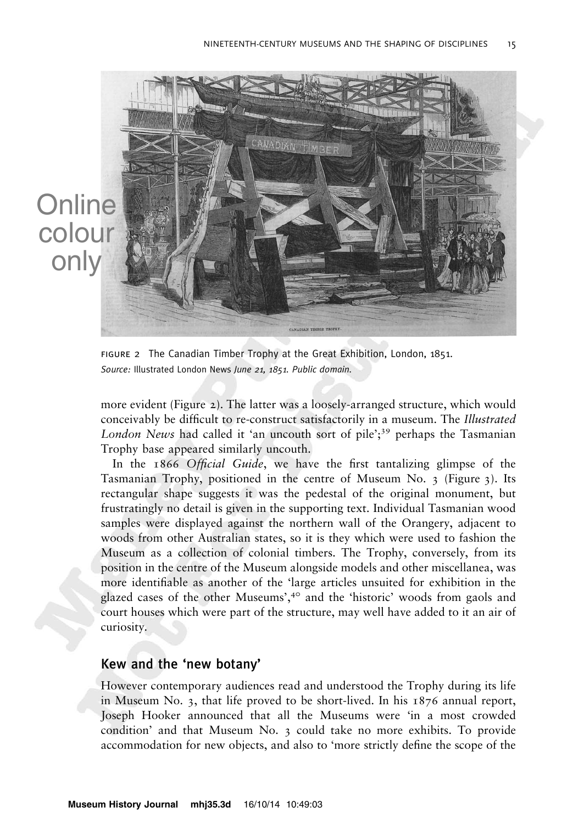

figure 2 The Canadian Timber Trophy at the Great Exhibition, London, 1851. Source: Illustrated London News June 21, 1851. Public domain.

more evident (Figure 2). The latter was a loosely-arranged structure, which would conceivably be difficult to re-construct satisfactorily in a museum. The Illustrated London News had called it 'an uncouth sort of pile';<sup>39</sup> perhaps the Tasmanian Trophy base appeared similarly uncouth.

In the 1866 Official Guide, we have the first tantalizing glimpse of the Tasmanian Trophy, positioned in the centre of Museum No. 3 (Figure 3). Its rectangular shape suggests it was the pedestal of the original monument, but frustratingly no detail is given in the supporting text. Individual Tasmanian wood samples were displayed against the northern wall of the Orangery, adjacent to woods from other Australian states, so it is they which were used to fashion the Museum as a collection of colonial timbers. The Trophy, conversely, from its position in the centre of the Museum alongside models and other miscellanea, was more identifiable as another of the 'large articles unsuited for exhibition in the glazed cases of the other Museums',<sup>40</sup> and the 'historic' woods from gaols and court houses which were part of the structure, may well have added to it an air of curiosity.

#### Kew and the 'new botany'

However contemporary audiences read and understood the Trophy during its life in Museum No. 3, that life proved to be short-lived. In his 1876 annual report, Joseph Hooker announced that all the Museums were 'in a most crowded condition' and that Museum No. 3 could take no more exhibits. To provide accommodation for new objects, and also to 'more strictly define the scope of the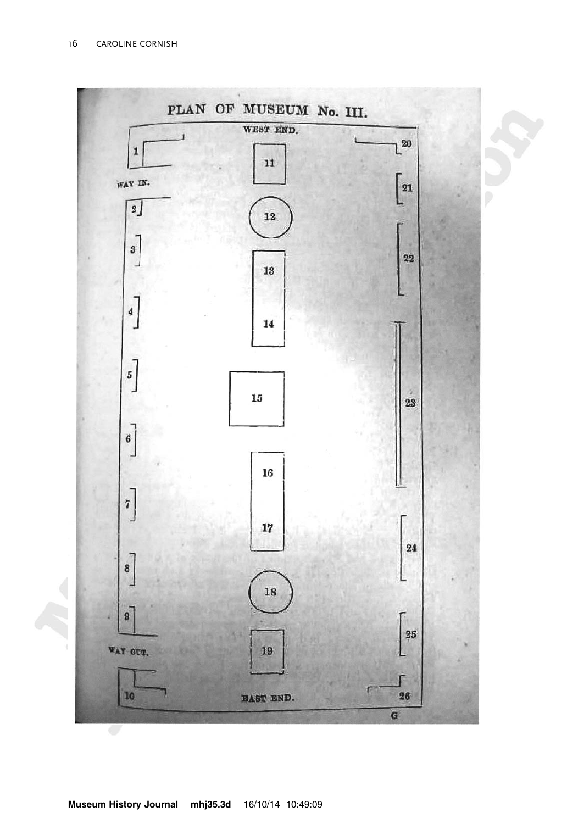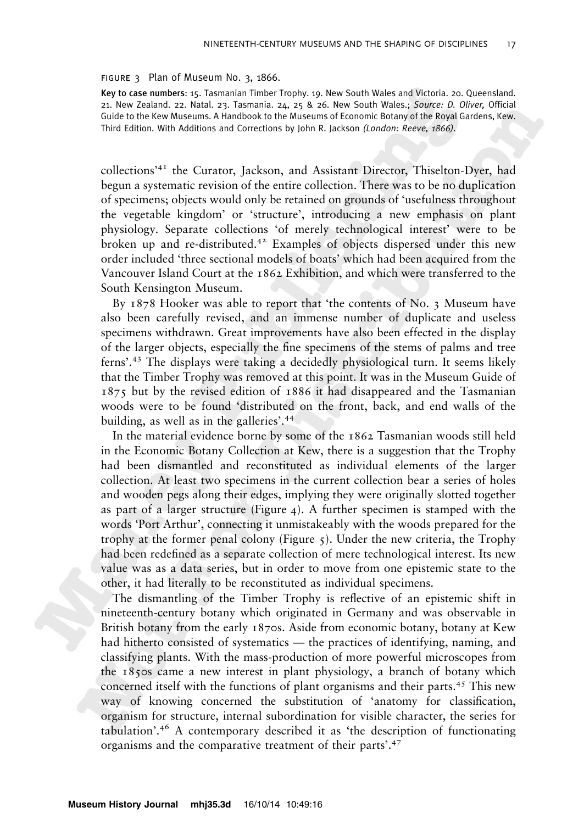#### FIGURE 3 Plan of Museum No. 3, 1866.

Key to case numbers: 15. Tasmanian Timber Trophy. 19. New South Wales and Victoria. 20. Queensland. 21. New Zealand. 22. Natal. 23. Tasmania. 24, 25 & 26. New South Wales.; Source: D. Oliver, Official Guide to the Kew Museums. A Handbook to the Museums of Economic Botany of the Royal Gardens, Kew. Third Edition. With Additions and Corrections by John R. Jackson (London: Reeve, 1866).

collections'<sup>41</sup> the Curator, Jackson, and Assistant Director, Thiselton-Dyer, had begun a systematic revision of the entire collection. There was to be no duplication of specimens; objects would only be retained on grounds of 'usefulness throughout the vegetable kingdom' or 'structure', introducing a new emphasis on plant physiology. Separate collections 'of merely technological interest' were to be broken up and re-distributed.42 Examples of objects dispersed under this new order included 'three sectional models of boats' which had been acquired from the Vancouver Island Court at the 1862 Exhibition, and which were transferred to the South Kensington Museum.

By 1878 Hooker was able to report that 'the contents of No. 3 Museum have also been carefully revised, and an immense number of duplicate and useless specimens withdrawn. Great improvements have also been effected in the display of the larger objects, especially the fine specimens of the stems of palms and tree ferns'.<sup>43</sup> The displays were taking a decidedly physiological turn. It seems likely that the Timber Trophy was removed at this point. It was in the Museum Guide of 1875 but by the revised edition of 1886 it had disappeared and the Tasmanian woods were to be found 'distributed on the front, back, and end walls of the building, as well as in the galleries'.<sup>44</sup>

In the material evidence borne by some of the 1862 Tasmanian woods still held in the Economic Botany Collection at Kew, there is a suggestion that the Trophy had been dismantled and reconstituted as individual elements of the larger collection. At least two specimens in the current collection bear a series of holes and wooden pegs along their edges, implying they were originally slotted together as part of a larger structure (Figure 4). A further specimen is stamped with the words 'Port Arthur', connecting it unmistakeably with the woods prepared for the trophy at the former penal colony (Figure  $\zeta$ ). Under the new criteria, the Trophy had been redefined as a separate collection of mere technological interest. Its new value was as a data series, but in order to move from one epistemic state to the other, it had literally to be reconstituted as individual specimens.

The dismantling of the Timber Trophy is reflective of an epistemic shift in nineteenth-century botany which originated in Germany and was observable in British botany from the early 1870s. Aside from economic botany, botany at Kew had hitherto consisted of systematics — the practices of identifying, naming, and classifying plants. With the mass-production of more powerful microscopes from the 1850s came a new interest in plant physiology, a branch of botany which concerned itself with the functions of plant organisms and their parts.45 This new way of knowing concerned the substitution of 'anatomy for classification, organism for structure, internal subordination for visible character, the series for tabulation'.<sup>46</sup> A contemporary described it as 'the description of functionating organisms and the comparative treatment of their parts'.<sup>47</sup>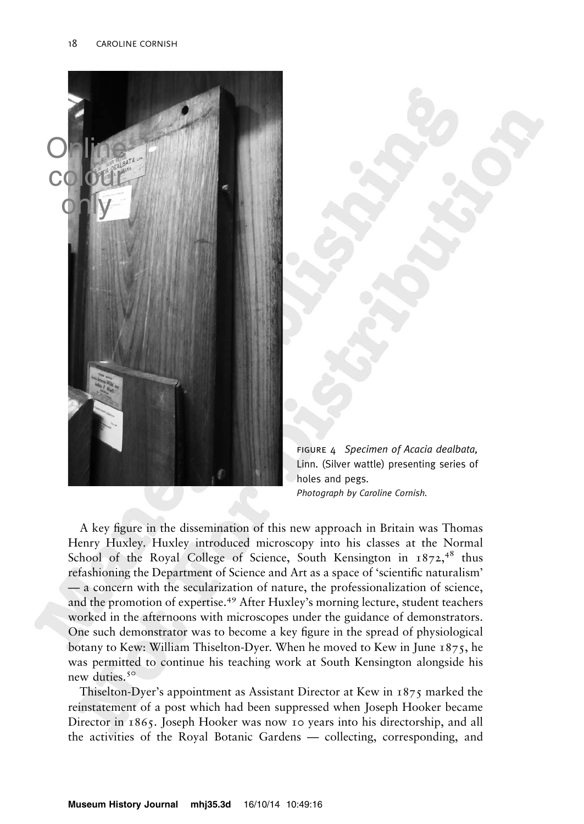

figure 4 Specimen of Acacia dealbata, Linn. (Silver wattle) presenting series of holes and pegs. Photograph by Caroline Cornish.

A key figure in the dissemination of this new approach in Britain was Thomas Henry Huxley. Huxley introduced microscopy into his classes at the Normal School of the Royal College of Science, South Kensington in  $1872,^{48}$  thus refashioning the Department of Science and Art as a space of 'scientific naturalism' — a concern with the secularization of nature, the professionalization of science, and the promotion of expertise.<sup>49</sup> After Huxley's morning lecture, student teachers worked in the afternoons with microscopes under the guidance of demonstrators. One such demonstrator was to become a key figure in the spread of physiological botany to Kew: William Thiselton-Dyer. When he moved to Kew in June 1875, he was permitted to continue his teaching work at South Kensington alongside his new duties.<sup>50</sup>

Thiselton-Dyer's appointment as Assistant Director at Kew in 1875 marked the reinstatement of a post which had been suppressed when Joseph Hooker became Director in 1865. Joseph Hooker was now 10 years into his directorship, and all the activities of the Royal Botanic Gardens — collecting, corresponding, and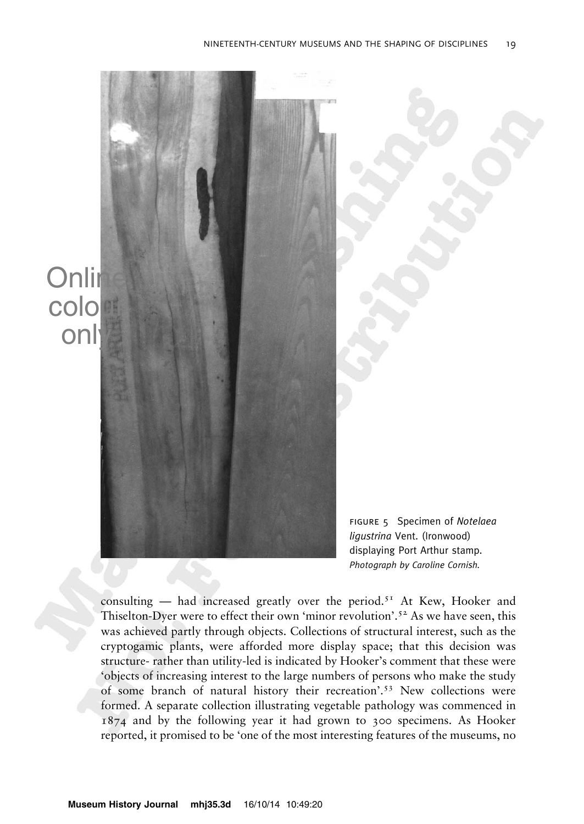

consulting — had increased greatly over the period.<sup>51</sup> At Kew, Hooker and Thiselton-Dyer were to effect their own 'minor revolution'.<sup>52</sup> As we have seen, this was achieved partly through objects. Collections of structural interest, such as the cryptogamic plants, were afforded more display space; that this decision was structure- rather than utility-led is indicated by Hooker's comment that these were 'objects of increasing interest to the large numbers of persons who make the study of some branch of natural history their recreation'.<sup>53</sup> New collections were formed. A separate collection illustrating vegetable pathology was commenced in 1874 and by the following year it had grown to 300 specimens. As Hooker reported, it promised to be 'one of the most interesting features of the museums, no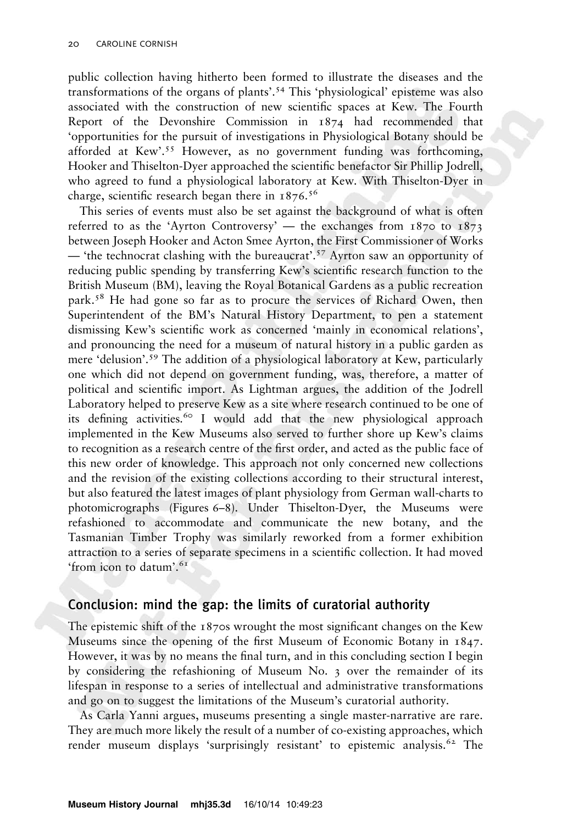public collection having hitherto been formed to illustrate the diseases and the transformations of the organs of plants'.<sup>54</sup> This 'physiological' episteme was also associated with the construction of new scientific spaces at Kew. The Fourth Report of the Devonshire Commission in 1874 had recommended that 'opportunities for the pursuit of investigations in Physiological Botany should be afforded at Kew'.<sup>55</sup> However, as no government funding was forthcoming, Hooker and Thiselton-Dyer approached the scientific benefactor Sir Phillip Jodrell, who agreed to fund a physiological laboratory at Kew. With Thiselton-Dyer in charge, scientific research began there in  $1876$ .<sup>56</sup>

This series of events must also be set against the background of what is often referred to as the 'Ayrton Controversy' — the exchanges from  $1870$  to  $1873$ between Joseph Hooker and Acton Smee Ayrton, the First Commissioner of Works — 'the technocrat clashing with the bureaucrat'.57 Ayrton saw an opportunity of reducing public spending by transferring Kew's scientific research function to the British Museum (BM), leaving the Royal Botanical Gardens as a public recreation park.58 He had gone so far as to procure the services of Richard Owen, then Superintendent of the BM's Natural History Department, to pen a statement dismissing Kew's scientific work as concerned 'mainly in economical relations', and pronouncing the need for a museum of natural history in a public garden as mere 'delusion'.<sup>59</sup> The addition of a physiological laboratory at Kew, particularly one which did not depend on government funding, was, therefore, a matter of political and scientific import. As Lightman argues, the addition of the Jodrell Laboratory helped to preserve Kew as a site where research continued to be one of its defining activities.<sup>60</sup> I would add that the new physiological approach implemented in the Kew Museums also served to further shore up Kew's claims to recognition as a research centre of the first order, and acted as the public face of this new order of knowledge. This approach not only concerned new collections and the revision of the existing collections according to their structural interest, but also featured the latest images of plant physiology from German wall-charts to photomicrographs (Figures 6–8). Under Thiselton-Dyer, the Museums were refashioned to accommodate and communicate the new botany, and the Tasmanian Timber Trophy was similarly reworked from a former exhibition attraction to a series of separate specimens in a scientific collection. It had moved 'from icon to datum'.<sup>61</sup>

# Conclusion: mind the gap: the limits of curatorial authority

The epistemic shift of the 1870s wrought the most significant changes on the Kew Museums since the opening of the first Museum of Economic Botany in 1847. However, it was by no means the final turn, and in this concluding section I begin by considering the refashioning of Museum No. 3 over the remainder of its lifespan in response to a series of intellectual and administrative transformations and go on to suggest the limitations of the Museum's curatorial authority.

As Carla Yanni argues, museums presenting a single master-narrative are rare. They are much more likely the result of a number of co-existing approaches, which render museum displays 'surprisingly resistant' to epistemic analysis.<sup>62</sup> The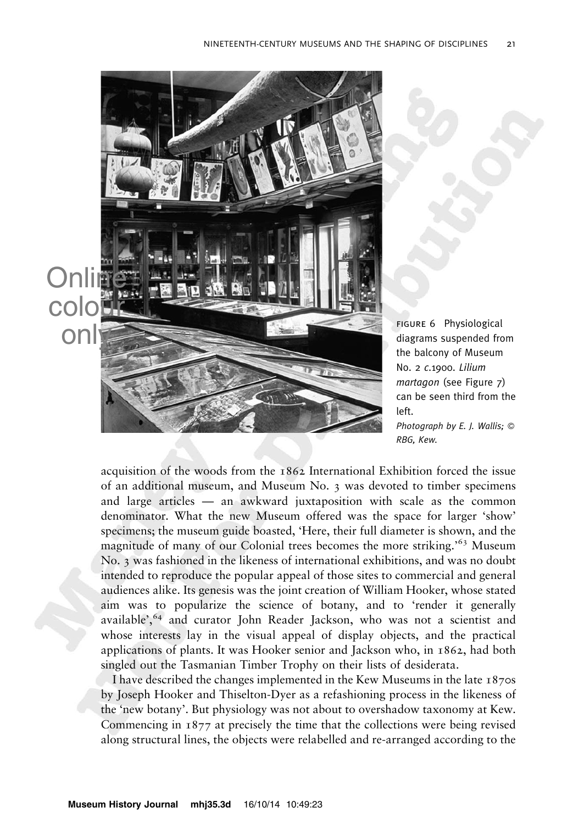

figure 6 Physiological diagrams suspended from the balcony of Museum No. 2 c.1900. Lilium martagon (see Figure 7) can be seen third from the left. Photograph by E. I. Wallis:  $\odot$ 

RBG, Kew.

acquisition of the woods from the 1862 International Exhibition forced the issue of an additional museum, and Museum No. 3 was devoted to timber specimens and large articles — an awkward juxtaposition with scale as the common denominator. What the new Museum offered was the space for larger 'show' specimens; the museum guide boasted, 'Here, their full diameter is shown, and the magnitude of many of our Colonial trees becomes the more striking.<sup>'63</sup> Museum No. 3 was fashioned in the likeness of international exhibitions, and was no doubt intended to reproduce the popular appeal of those sites to commercial and general audiences alike. Its genesis was the joint creation of William Hooker, whose stated aim was to popularize the science of botany, and to 'render it generally available', <sup>64</sup> and curator John Reader Jackson, who was not a scientist and whose interests lay in the visual appeal of display objects, and the practical applications of plants. It was Hooker senior and Jackson who, in 1862, had both singled out the Tasmanian Timber Trophy on their lists of desiderata.

I have described the changes implemented in the Kew Museums in the late 1870s by Joseph Hooker and Thiselton-Dyer as a refashioning process in the likeness of the 'new botany'. But physiology was not about to overshadow taxonomy at Kew. Commencing in 1877 at precisely the time that the collections were being revised along structural lines, the objects were relabelled and re-arranged according to the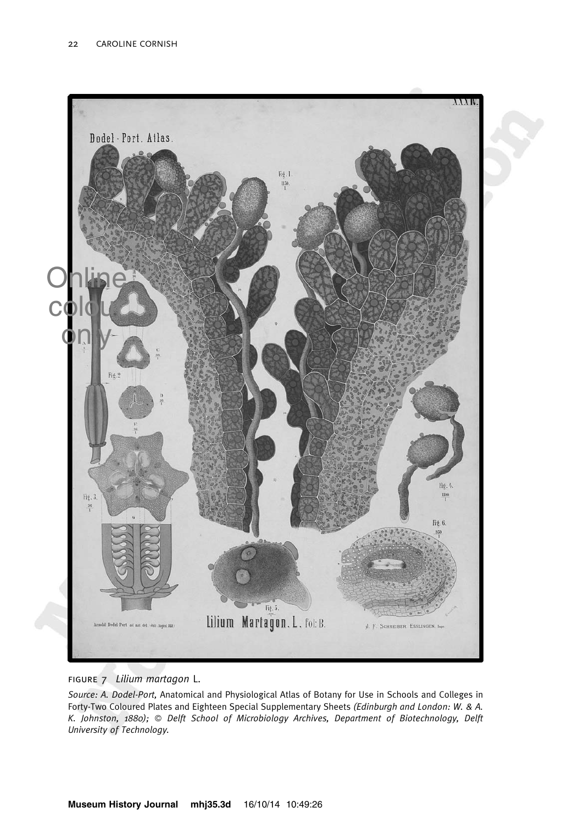

figure 7 Lilium martagon L.

Source: A. Dodel-Port, Anatomical and Physiological Atlas of Botany for Use in Schools and Colleges in Forty-Two Coloured Plates and Eighteen Special Supplementary Sheets (Edinburgh and London: W. & A. K. Johnston, 1880); © Delft School of Microbiology Archives, Department of Biotechnology, Delft University of Technology.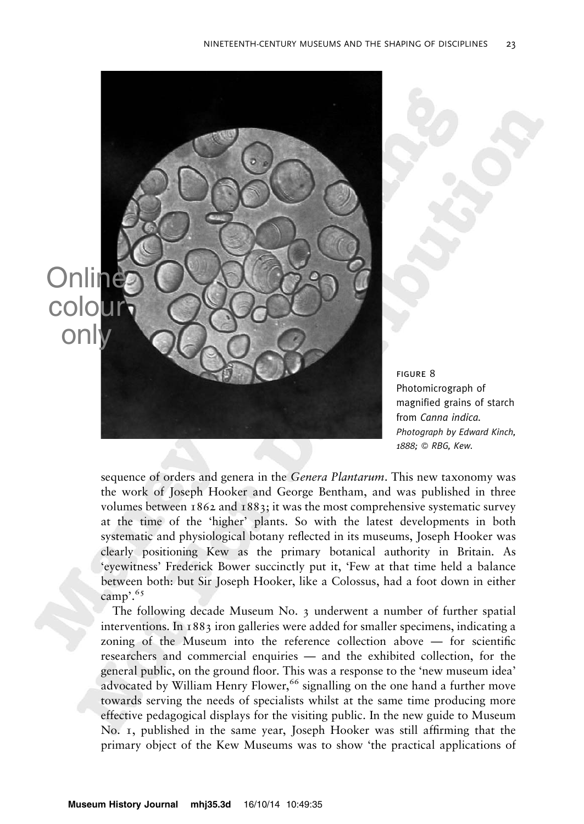

figure 8 Photomicrograph of magnified grains of starch from Canna indica. Photograph by Edward Kinch, 1888; © RBG, Kew.

sequence of orders and genera in the *Genera Plantarum*. This new taxonomy was the work of Joseph Hooker and George Bentham, and was published in three volumes between 1862 and 1883; it was the most comprehensive systematic survey at the time of the 'higher' plants. So with the latest developments in both systematic and physiological botany reflected in its museums, Joseph Hooker was clearly positioning Kew as the primary botanical authority in Britain. As 'eyewitness' Frederick Bower succinctly put it, 'Few at that time held a balance between both: but Sir Joseph Hooker, like a Colossus, had a foot down in either camp'.<sup>65</sup>

The following decade Museum No. 3 underwent a number of further spatial interventions. In 1883 iron galleries were added for smaller specimens, indicating a zoning of the Museum into the reference collection above — for scientific researchers and commercial enquiries — and the exhibited collection, for the general public, on the ground floor. This was a response to the 'new museum idea' advocated by William Henry Flower,<sup>66</sup> signalling on the one hand a further move towards serving the needs of specialists whilst at the same time producing more effective pedagogical displays for the visiting public. In the new guide to Museum No. 1, published in the same year, Joseph Hooker was still affirming that the primary object of the Kew Museums was to show 'the practical applications of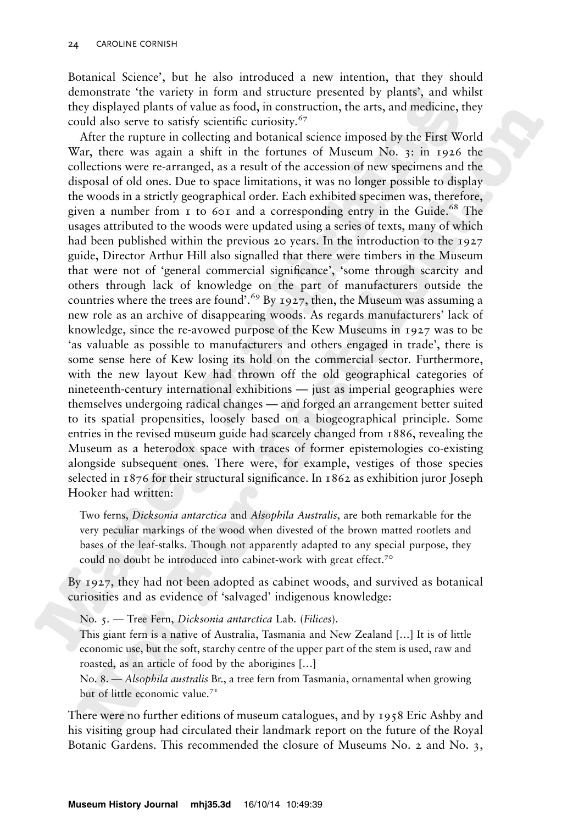Botanical Science', but he also introduced a new intention, that they should demonstrate 'the variety in form and structure presented by plants', and whilst they displayed plants of value as food, in construction, the arts, and medicine, they could also serve to satisfy scientific curiosity.<sup>67</sup>

After the rupture in collecting and botanical science imposed by the First World War, there was again a shift in the fortunes of Museum No. 3: in 1926 the collections were re-arranged, as a result of the accession of new specimens and the disposal of old ones. Due to space limitations, it was no longer possible to display the woods in a strictly geographical order. Each exhibited specimen was, therefore, given a number from  $\bar{1}$  to 601 and a corresponding entry in the Guide.<sup>68</sup> The usages attributed to the woods were updated using a series of texts, many of which had been published within the previous 20 years. In the introduction to the 1927 guide, Director Arthur Hill also signalled that there were timbers in the Museum that were not of 'general commercial significance', 'some through scarcity and others through lack of knowledge on the part of manufacturers outside the countries where the trees are found'.<sup>69</sup> By 1927, then, the Museum was assuming a new role as an archive of disappearing woods. As regards manufacturers' lack of knowledge, since the re-avowed purpose of the Kew Museums in 1927 was to be 'as valuable as possible to manufacturers and others engaged in trade', there is some sense here of Kew losing its hold on the commercial sector. Furthermore, with the new layout Kew had thrown off the old geographical categories of nineteenth-century international exhibitions — just as imperial geographies were themselves undergoing radical changes — and forged an arrangement better suited to its spatial propensities, loosely based on a biogeographical principle. Some entries in the revised museum guide had scarcely changed from 1886, revealing the Museum as a heterodox space with traces of former epistemologies co-existing alongside subsequent ones. There were, for example, vestiges of those species selected in 1876 for their structural significance. In 1862 as exhibition juror Joseph Hooker had written:

Two ferns, Dicksonia antarctica and Alsophila Australis, are both remarkable for the very peculiar markings of the wood when divested of the brown matted rootlets and bases of the leaf-stalks. Though not apparently adapted to any special purpose, they could no doubt be introduced into cabinet-work with great effect.<sup>70</sup>

By 1927, they had not been adopted as cabinet woods, and survived as botanical curiosities and as evidence of 'salvaged' indigenous knowledge:

No. 5. - Tree Fern, Dicksonia antarctica Lab. (Filices).

This giant fern is a native of Australia, Tasmania and New Zealand […] It is of little economic use, but the soft, starchy centre of the upper part of the stem is used, raw and roasted, as an article of food by the aborigines […]

No. 8. — Alsophila australis Br., a tree fern from Tasmania, ornamental when growing but of little economic value.<sup>71</sup>

There were no further editions of museum catalogues, and by 1958 Eric Ashby and his visiting group had circulated their landmark report on the future of the Royal Botanic Gardens. This recommended the closure of Museums No. 2 and No. 3,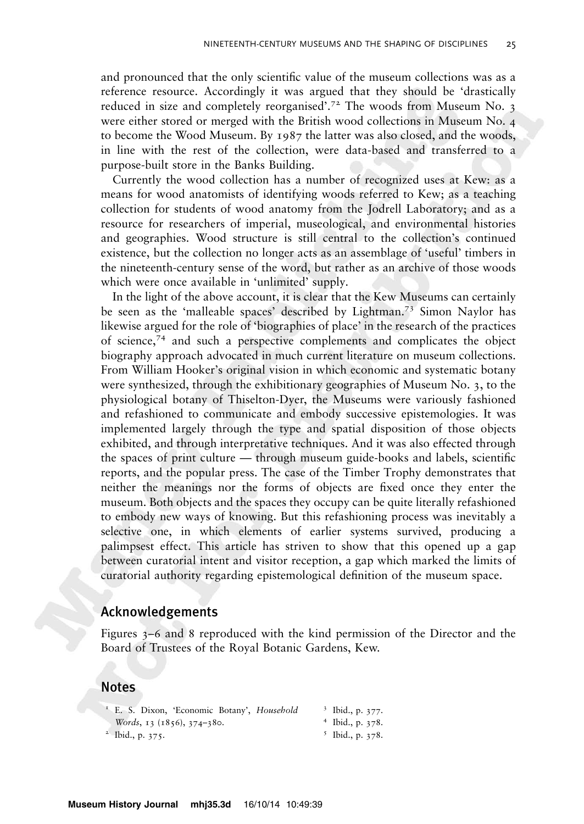and pronounced that the only scientific value of the museum collections was as a reference resource. Accordingly it was argued that they should be 'drastically reduced in size and completely reorganised'.<sup>72</sup> The woods from Museum No. 3 were either stored or merged with the British wood collections in Museum No. 4 to become the Wood Museum. By 1987 the latter was also closed, and the woods, in line with the rest of the collection, were data-based and transferred to a purpose-built store in the Banks Building.

Currently the wood collection has a number of recognized uses at Kew: as a means for wood anatomists of identifying woods referred to Kew; as a teaching collection for students of wood anatomy from the Jodrell Laboratory; and as a resource for researchers of imperial, museological, and environmental histories and geographies. Wood structure is still central to the collection's continued existence, but the collection no longer acts as an assemblage of 'useful' timbers in the nineteenth-century sense of the word, but rather as an archive of those woods which were once available in 'unlimited' supply.

In the light of the above account, it is clear that the Kew Museums can certainly be seen as the 'malleable spaces' described by Lightman.<sup>73</sup> Simon Naylor has likewise argued for the role of 'biographies of place' in the research of the practices of science,<sup>74</sup> and such a perspective complements and complicates the object biography approach advocated in much current literature on museum collections. From William Hooker's original vision in which economic and systematic botany were synthesized, through the exhibitionary geographies of Museum No. 3, to the physiological botany of Thiselton-Dyer, the Museums were variously fashioned and refashioned to communicate and embody successive epistemologies. It was implemented largely through the type and spatial disposition of those objects exhibited, and through interpretative techniques. And it was also effected through the spaces of print culture — through museum guide-books and labels, scientific reports, and the popular press. The case of the Timber Trophy demonstrates that neither the meanings nor the forms of objects are fixed once they enter the museum. Both objects and the spaces they occupy can be quite literally refashioned to embody new ways of knowing. But this refashioning process was inevitably a selective one, in which elements of earlier systems survived, producing a palimpsest effect. This article has striven to show that this opened up a gap between curatorial intent and visitor reception, a gap which marked the limits of curatorial authority regarding epistemological definition of the museum space.

#### Acknowledgements

Figures 3–6 and 8 reproduced with the kind permission of the Director and the Board of Trustees of the Royal Botanic Gardens, Kew.

#### Notes

| <sup>1</sup> E. S. Dixon, 'Economic Botany', <i>Household</i> | $3$ Ibid., p. 377. |
|---------------------------------------------------------------|--------------------|
| Words, $13(1856)$ , $374-380$ .                               | $4$ Ibid., p. 378. |
| $^2$ Ibid., p. 375.                                           | $5$ Ibid., p. 378. |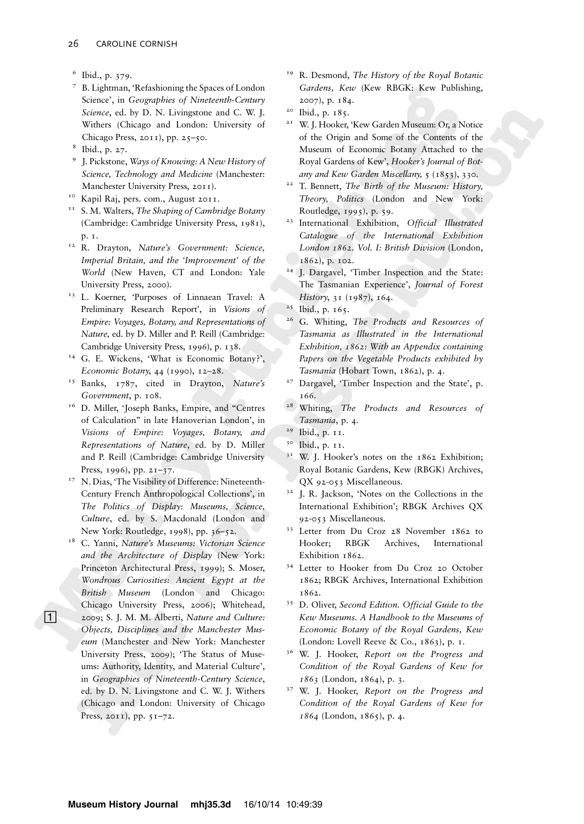- <sup>6</sup> Ibid., p. 379.
- <sup>7</sup> B. Lightman, 'Refashioning the Spaces of London Science', in Geographies of Nineteenth-Century Science, ed. by D. N. Livingstone and C. W. J. Withers (Chicago and London: University of Chicago Press, 2011), pp. 25–50.
- <sup>8</sup> Ibid., p. 27.
- <sup>9</sup> J. Pickstone, Ways of Knowing: A New History of Science, Technology and Medicine (Manchester: Manchester University Press, 2011).
- Kapil Raj, pers. com., August 2011.
- $11$  S. M. Walters, The Shaping of Cambridge Botany (Cambridge: Cambridge University Press, 1981), p. 1.
- <sup>12</sup> R. Drayton, Nature's Government: Science, Imperial Britain, and the 'Improvement' of the World (New Haven, CT and London: Yale University Press, 2000).
- <sup>13</sup> L. Koerner, 'Purposes of Linnaean Travel: A Preliminary Research Report', in Visions of Empire: Voyages, Botany, and Representations of Nature, ed. by D. Miller and P. Reill (Cambridge: Cambridge University Press, 1996), p. 138.
- <sup>14</sup> G. E. Wickens, 'What is Economic Botany?', Economic Botany, 44 (1990), 12–28.
- <sup>15</sup> Banks, 1787, cited in Drayton, Nature's Government, p. 108.
- <sup>16</sup> D. Miller, 'Joseph Banks, Empire, and "Centres of Calculation'' in late Hanoverian London', in Visions of Empire: Voyages, Botany, and Representations of Nature, ed. by D. Miller and P. Reill (Cambridge: Cambridge University Press, 1996), pp. 21-37.
- <sup>17</sup> N. Dias, 'The Visibility of Difference: Nineteenth-Century French Anthropological Collections', in The Politics of Display: Museums, Science, Culture, ed. by S. Macdonald (London and New York: Routledge, 1998), pp. 36–52.
- <sup>18</sup> C. Yanni, Nature's Museums: Victorian Science and the Architecture of Display (New York: Princeton Architectural Press, 1999); S. Moser, Wondrous Curiosities: Ancient Egypt at the British Museum (London and Chicago: Chicago University Press, 2006); Whitehead, ; 2009; S. J. M. M. Alberti, Nature and Culture: Objects, Disciplines and the Manchester Museum (Manchester and New York: Manchester University Press, 2009); 'The Status of Museums: Authority, Identity, and Material Culture', in Geographies of Nineteenth-Century Science, ed. by D. N. Livingstone and C. W. J. Withers (Chicago and London: University of Chicago Press, 2011), pp. 51-72.
- <sup>19</sup> R. Desmond, The History of the Royal Botanic Gardens, Kew (Kew RBGK: Kew Publishing, 2007), p. 184.
- <sup>20</sup> Ibid., p. 185.
- <sup>21</sup> W. J. Hooker, 'Kew Garden Museum: Or, a Notice of the Origin and Some of the Contents of the Museum of Economic Botany Attached to the Royal Gardens of Kew', Hooker's Journal of Botany and Kew Garden Miscellany, 5 (1853), 330.
- <sup>22</sup> T. Bennett, The Birth of the Museum: History, Theory, Politics (London and New York: Routledge, 1995), p. 59.
- <sup>23</sup> International Exhibition, Official Illustrated Catalogue of the International Exhibition London 1862. Vol. I: British Division (London, 1862), p. 102.
- <sup>24</sup> I. Dargavel, 'Timber Inspection and the State: The Tasmanian Experience', Journal of Forest History, 31 (1987), 164.
- <sup>25</sup> Ibid., p. 165.
- <sup>26</sup> G. Whiting, The Products and Resources of Tasmania as Illustrated in the International Exhibition, 1862: With an Appendix containing Papers on the Vegetable Products exhibited by Tasmania (Hobart Town, 1862), p. 4.
- <sup>27</sup> Dargavel, 'Timber Inspection and the State', p. 166.
- <sup>28</sup> Whiting, *The Products and Resources of* Tasmania, p. 4.
- <sup>29</sup> Ibid., p. 11.
- <sup>30</sup> Ibid., p. 11.
- <sup>31</sup> W. J. Hooker's notes on the 1862 Exhibition; Royal Botanic Gardens, Kew (RBGK) Archives, QX 92-053 Miscellaneous.
- <sup>32</sup> J. R. Jackson, 'Notes on the Collections in the International Exhibition'; RBGK Archives QX 92-053 Miscellaneous.
- <sup>33</sup> Letter from Du Croz 28 November 1862 to Hooker; RBGK Archives, International Exhibition 1862.
- <sup>34</sup> Letter to Hooker from Du Croz 20 October 1862; RBGK Archives, International Exhibition 1862.
- <sup>35</sup> D. Oliver, Second Edition. Official Guide to the Kew Museums. A Handbook to the Museums of Economic Botany of the Royal Gardens, Kew (London: Lovell Reeve & Co., 1863), p. 1.
- <sup>36</sup> W. J. Hooker, Report on the Progress and Condition of the Royal Gardens of Kew for 1863 (London, 1864), p. 3.
- <sup>37</sup> W. J. Hooker, Report on the Progress and Condition of the Royal Gardens of Kew for 1864 (London, 1865), p. 4.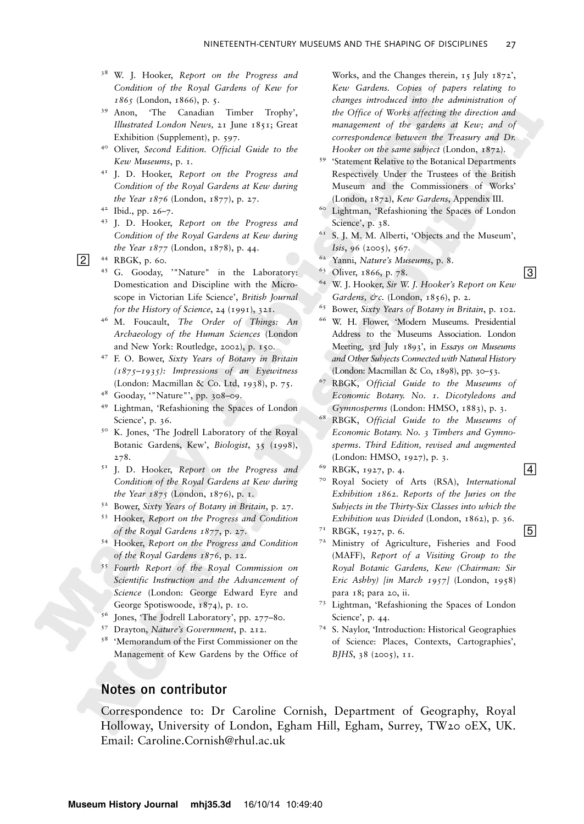- <sup>38</sup> W. J. Hooker, Report on the Progress and Condition of the Royal Gardens of Kew for  $1865$  (London, 1866), p. 5.<br><sup>39</sup> Anon, 'The Canadian
- 'The Canadian Timber Trophy', Illustrated London News, 21 June 1851; Great Exhibition (Supplement), p. 597.
- <sup>40</sup> Oliver, Second Edition. Official Guide to the Kew Museums, p. 1.
- <sup>41</sup> J. D. Hooker, Report on the Progress and Condition of the Royal Gardens at Kew during the Year 1876 (London, 1877), p. 27.
- <sup>42</sup> Ibid., pp. 26–7.
- <sup>43</sup> J. D. Hooker, Report on the Progress and Condition of the Royal Gardens at Kew during the Year 1877 (London, 1878), p. 44.

- <sup>45</sup> G. Gooday, '"Nature" in the Laboratory: Domestication and Discipline with the Microscope in Victorian Life Science', British Journal for the History of Science, 24 (1991), 321.
- <sup>46</sup> M. Foucault, The Order of Things: An Archaeology of the Human Sciences (London and New York: Routledge, 2002), p. 150.
- <sup>47</sup> F. O. Bower, Sixty Years of Botany in Britain (1875–1935): Impressions of an Eyewitness (London: Macmillan & Co. Ltd, 1938), p. 75.
- <sup>48</sup> Gooday, '"Nature"', pp. 308–09.
- <sup>49</sup> Lightman, 'Refashioning the Spaces of London Science', p. 36.
- <sup>50</sup> K. Jones, 'The Jodrell Laboratory of the Royal Botanic Gardens, Kew', Biologist, 35 (1998), 278.
- <sup>51</sup> J. D. Hooker, Report on the Progress and Condition of the Royal Gardens at Kew during the Year  $1875$  (London,  $1876$ ), p. 1.
- <sup>52</sup> Bower, Sixty Years of Botany in Britain, p. 27.
- <sup>53</sup> Hooker, Report on the Progress and Condition of the Royal Gardens 1877, p. 27.
- <sup>54</sup> Hooker, Report on the Progress and Condition of the Royal Gardens 1876, p. 12.
- <sup>55</sup> Fourth Report of the Royal Commission on Scientific Instruction and the Advancement of Science (London: George Edward Eyre and George Spotiswoode, 1874), p. 10.
- <sup>56</sup> Jones, 'The Jodrell Laboratory', pp. 277–80.
- <sup>57</sup> Drayton, Nature's Government, p. 212.
- <sup>58</sup> 'Memorandum of the First Commissioner on the Management of Kew Gardens by the Office of

Works, and the Changes therein, 15 July 1872', Kew Gardens. Copies of papers relating to changes introduced into the administration of the Office of Works affecting the direction and management of the gardens at Kew; and of correspondence between the Treasury and Dr. Hooker on the same subject (London, 1872).

- <sup>59</sup> 'Statement Relative to the Botanical Departments Respectively Under the Trustees of the British Museum and the Commissioners of Works' (London, 1872), Kew Gardens, Appendix III.
- <sup>60</sup> Lightman, 'Refashioning the Spaces of London Science', p. 38.
- <sup>61</sup> S. J. M. M. Alberti, 'Objects and the Museum', Isis, 96 (2005), 567.
- <sup>62</sup> Yanni, Nature's Museums, p. 8.
- $\frac{63}{9}$  Oliver, 1866, p. 78.
- 64 W. J. Hooker, Sir W. J. Hooker's Report on Kew Gardens, &c. (London, 1856), p. 2.
- <sup>65</sup> Bower, Sixty Years of Botany in Britain, p. 102.
- <sup>66</sup> W. H. Flower, 'Modern Museums. Presidential Address to the Museums Association. London Meeting, 3rd July 1893', in Essays on Museums and Other Subjects Connected with Natural History (London: Macmillan & Co, 1898), pp. 30–53.
- <sup>67</sup> RBGK, Official Guide to the Museums of Economic Botany. No. 1. Dicotyledons and Gymnosperms (London: HMSO, 1883), p. 3.
- <sup>68</sup> RBGK, Official Guide to the Museums of Economic Botany. No. 3 Timbers and Gymnosperms. Third Edition, revised and augmented (London: HMSO, 1927), p. 3.
- $69 \text{ RBGK, } 1927, \text{ p. } 4.$  4
- 7º Royal Society of Arts (RSA), International Exhibition 1862. Reports of the Juries on the Subjects in the Thirty-Six Classes into which the Exhibition was Divided (London, 1862), p. 36. EXMONION WAS DIVIDED (EQUADORI, 1802), p. 30.
- 
- 72 Ministry of Agriculture, Fisheries and Food (MAFF), Report of a Visiting Group to the Royal Botanic Gardens, Kew (Chairman: Sir Eric Ashby) [in March 1957] (London, 1958) para 18; para 20, ii.
- <sup>73</sup> Lightman, 'Refashioning the Spaces of London Science', p. 44.
- <sup>74</sup> S. Naylor, 'Introduction: Historical Geographies of Science: Places, Contexts, Cartographies', BJHS, 38 (2005), 11.

## Notes on contributor

Correspondence to: Dr Caroline Cornish, Department of Geography, Royal Holloway, University of London, Egham Hill, Egham, Surrey, TW20 0EX, UK. Email: Caroline.Cornish@rhul.ac.uk

 $[2]$  <sup>44</sup> RBGK, p. 60.